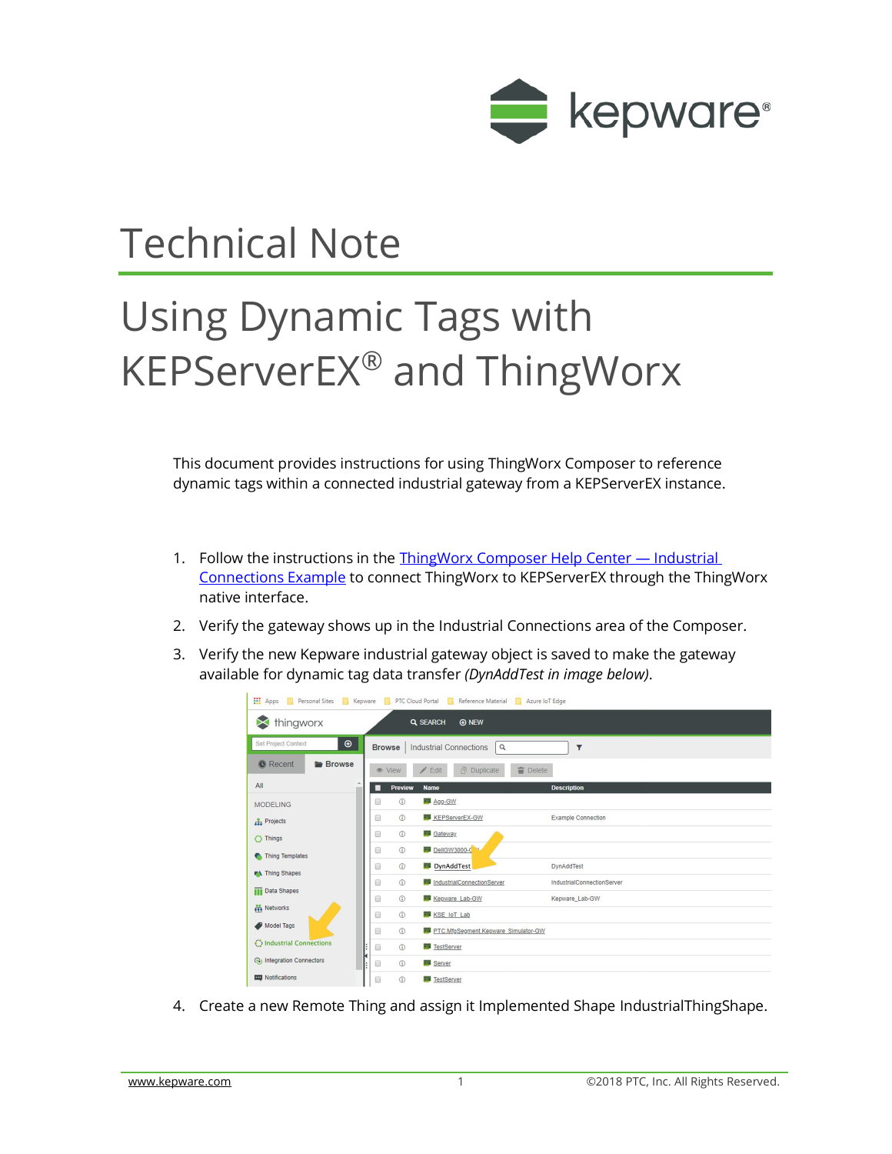

## Technical Note

## Using Dynamic Tags with KEPServerEX® and ThingWorx

This document provides instructions for using ThingWorx Composer to reference dynamic tags within a connected industrial gateway from a KEPServerEX instance.

- 1. Follow the instructions in the [ThingWorx Composer Help Center](http://support.ptc.com/help/thingworx_hc/thingworx_8_hc/en/#page/ThingWorx/ThingWorxHelpCenterDITAFiles/ThingWorxModelDefinitionandComposer/IndustrialConnections/IndustrialConnectionsExample.html)  Industrial [Connections Example](http://support.ptc.com/help/thingworx_hc/thingworx_8_hc/en/#page/ThingWorx/ThingWorxHelpCenterDITAFiles/ThingWorxModelDefinitionandComposer/IndustrialConnections/IndustrialConnectionsExample.html) to connect ThingWorx to KEPServerEX through the ThingWorx native interface.
- 2. Verify the gateway shows up in the Industrial Connections area of the Composer.
- 3. Verify the new Kepware industrial gateway object is saved to make the gateway available for dynamic tag data transfer *(DynAddTest in image below)*.



4. Create a new Remote Thing and assign it Implemented Shape IndustrialThingShape.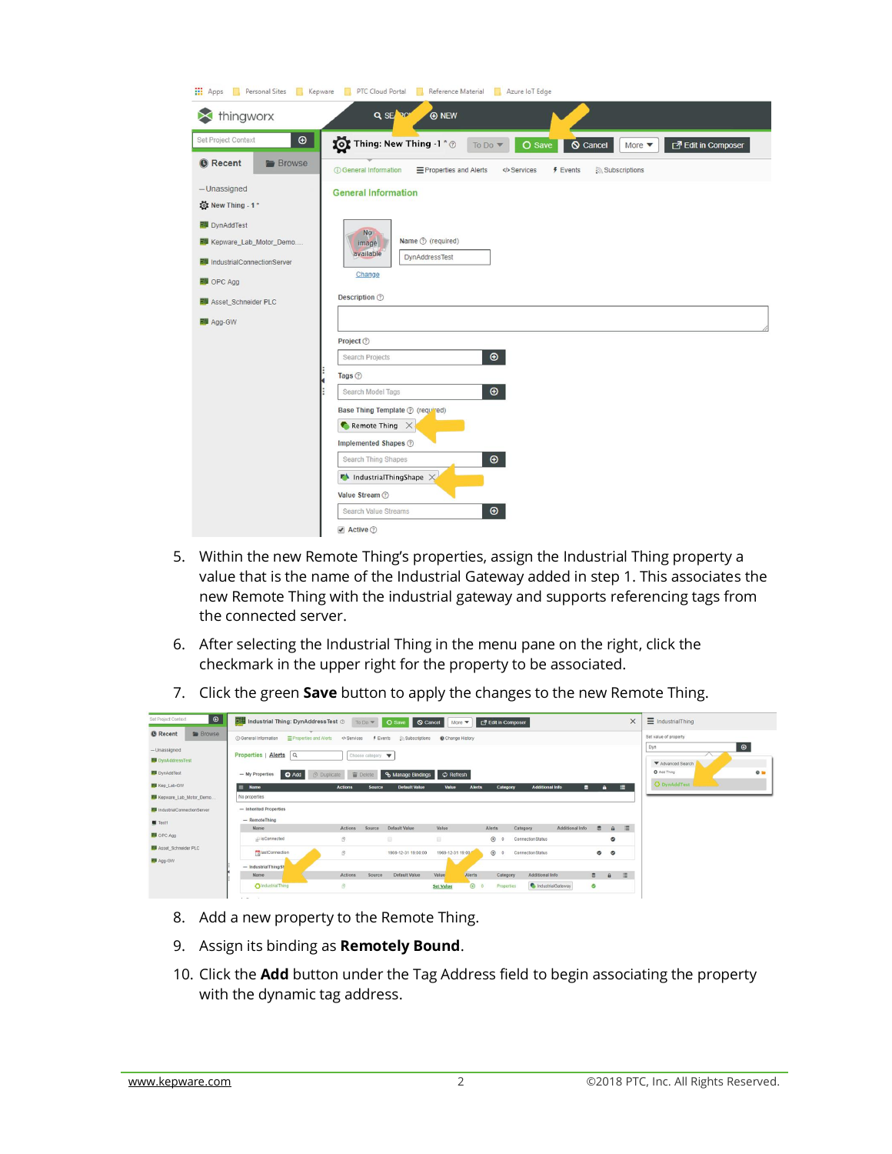| <b>III</b> Apps<br>Personal Sites<br>Kepware<br>T.                                                                                                          | PTC Cloud Portal<br>Reference Material<br>Azure loT Edge<br>H.<br>n.                                                                                                                                                                                              |
|-------------------------------------------------------------------------------------------------------------------------------------------------------------|-------------------------------------------------------------------------------------------------------------------------------------------------------------------------------------------------------------------------------------------------------------------|
| thingworx                                                                                                                                                   | Q SE PC<br><b>A</b> NEW                                                                                                                                                                                                                                           |
| $\bigoplus$<br>Set Project Context                                                                                                                          | Thing: New Thing -1 * @<br>O Save<br>교 Edit in Composer<br><b>S</b> Cancel<br>To Do $\blacktriangledown$<br>More $\blacktriangledown$                                                                                                                             |
| <b>O</b> Recent<br><b>Browse</b>                                                                                                                            | <b>(i)</b> General Information<br>E Properties and Alerts<br>$F$ Events<br>Subscriptions<br><>>Services                                                                                                                                                           |
| $-$ Unassigned<br>New Thing - 1*                                                                                                                            | <b>General Information</b>                                                                                                                                                                                                                                        |
| <b>副</b> DynAddTest<br><b>图 Kepware_Lab_Motor_Demo</b><br><b>副</b> IndustrialConnectionServer<br><b>图 OPC Agg</b><br>Asset_Schneider PLC<br><b>脚 Agg-GW</b> | <b>No</b><br>Name ② (required)<br>image<br>available<br><b>DynAddressTest</b><br>Change<br>Description 2                                                                                                                                                          |
|                                                                                                                                                             | Project ②<br>$\bigoplus$<br>Search Projects                                                                                                                                                                                                                       |
|                                                                                                                                                             | Tags ②                                                                                                                                                                                                                                                            |
|                                                                                                                                                             | $\bigoplus$<br>Search Model Tags<br>Base Thing Template ② (required)<br>Remote Thing $\chi$<br>Implemented Shapes 2<br>$\bigoplus$<br>Search Thing Shapes<br>$\blacksquare$ IndustrialThingShape $\times$<br>Value Stream 2<br>$\bigcirc$<br>Search Value Streams |
|                                                                                                                                                             | Active 2                                                                                                                                                                                                                                                          |

- 5. Within the new Remote Thing's properties, assign the Industrial Thing property a value that is the name of the Industrial Gateway added in step 1. This associates the new Remote Thing with the industrial gateway and supports referencing tags from the connected server.
- 6. After selecting the Industrial Thing in the menu pane on the right, click the checkmark in the upper right for the property to be associated.
- 7. Click the green **Save** button to apply the changes to the new Remote Thing.

| $\circledcirc$<br>Set Project Context      | Industrial Thing: DynAddressTest ©                    | To Do W                         | O Save                             | Cancel<br>More $\blacktriangledown$                   | <b>7</b> Edit in Composer                                             |                                 | $\times$           | $\equiv$ IndustrialThing                        |
|--------------------------------------------|-------------------------------------------------------|---------------------------------|------------------------------------|-------------------------------------------------------|-----------------------------------------------------------------------|---------------------------------|--------------------|-------------------------------------------------|
| <b>Browse</b><br><b><i>O</i></b> Recent    | Properties and Alerts<br><b>C General Information</b> | <br>Services                    | $f$ Events<br><b>Subscriptions</b> | Change History                                        |                                                                       |                                 |                    | Set value of property                           |
| $-$ Unassigned<br><b>BU</b> DynAddressTest | Properties   Alerts   Q                               | Choose category                 |                                    |                                                       |                                                                       |                                 |                    | $\boldsymbol{\Theta}$<br>Dyn<br>Advanced Search |
| <b>BU</b> DynAddTest                       | - My Properties<br><b>O</b> Add                       | Delete<br><b>B</b> Duplicate    | <b>&amp; Manage Bindings</b>       | C Refresh                                             |                                                                       |                                 |                    | C Add Thing<br>$\circ$ =                        |
| <b>EU</b> Kep_Lab-GW                       | Name                                                  | <b>Actions</b><br><b>Source</b> | <b>Default Value</b>               | Value<br><b>Alerts</b>                                | <b>Additional Info</b><br>Category                                    | п                               | 眉<br>A.            | O DynAddTest                                    |
| Kepware_Lab_Motor_Demo                     | No properties                                         |                                 |                                    |                                                       |                                                                       |                                 |                    |                                                 |
| <b>BU</b> IndustrialConnectionServer       | - Inherited Properties                                |                                 |                                    |                                                       |                                                                       |                                 |                    |                                                 |
| <b>M</b> Test1                             | - RemoteThing                                         |                                 |                                    |                                                       |                                                                       |                                 |                    |                                                 |
| <b>BU</b> OPC Agg                          | Name<br>pisConnected                                  | Actions<br>Source<br>B.         | Default Value<br>自                 | Value<br>画                                            | <b>Alerts</b><br>Category<br>$\bigoplus$<br>ConnectionStatus          | Additional Info<br>$\mathbf{a}$ | 這<br>$\theta$<br>۰ |                                                 |
| Asset_Schneider PLC                        | <b>MastConnection</b>                                 | $\mathcal{B}$                   | 1969-12-31 19:00:00                | 1969-12-31 19:00                                      | $\bigoplus$ 0<br>ConnectionStatus                                     | $\bullet$                       | $\bullet$          |                                                 |
| <b>BB</b> Agg-GW                           | - IndustrialThingSh                                   |                                 |                                    |                                                       |                                                                       |                                 |                    |                                                 |
|                                            | Name<br>OIndustrialThing                              | Actions<br>Source<br>$\circ$    | Default Value                      | Value<br><b>Alerts</b><br>$\odot$<br><b>Set Value</b> | Additional Info<br>Category<br>IndustrialGateway<br><b>Properties</b> | $\ddot{a}$<br>$\circ$           | 道<br>$\theta$      |                                                 |

- 8. Add a new property to the Remote Thing.
- 9. Assign its binding as **Remotely Bound**.
- 10. Click the **Add** button under the Tag Address field to begin associating the property with the dynamic tag address.